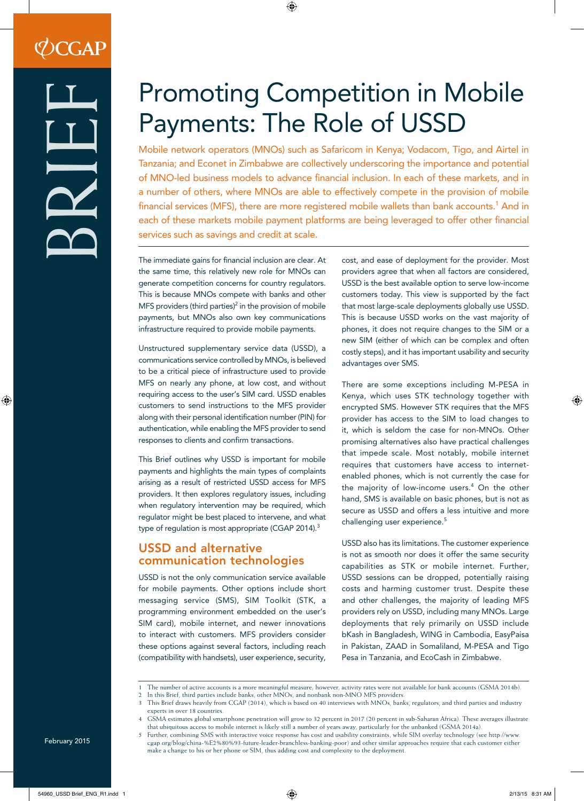# Promoting Competition in Mobile Payments: The Role of USSD

Mobile network operators (MNOs) such as Safaricom in Kenya; Vodacom, Tigo, and Airtel in Tanzania; and Econet in Zimbabwe are collectively underscoring the importance and potential of MNO-led business models to advance financial inclusion. In each of these markets, and in a number of others, where MNOs are able to effectively compete in the provision of mobile financial services (MFS), there are more registered mobile wallets than bank accounts. $^{\rm 1}$  And in each of these markets mobile payment platforms are being leveraged to offer other financial services such as savings and credit at scale.

The immediate gains for financial inclusion are clear. At the same time, this relatively new role for MNOs can generate competition concerns for country regulators. This is because MNOs compete with banks and other MFS providers (third parties)<sup>2</sup> in the provision of mobile payments, but MNOs also own key communications infrastructure required to provide mobile payments.

Unstructured supplementary service data (USSD), a communications service controlled by MNOs, is believed to be a critical piece of infrastructure used to provide MFS on nearly any phone, at low cost, and without requiring access to the user's SIM card. USSD enables customers to send instructions to the MFS provider along with their personal identification number (PIN) for authentication, while enabling the MFS provider to send responses to clients and confirm transactions.

This Brief outlines why USSD is important for mobile payments and highlights the main types of complaints arising as a result of restricted USSD access for MFS providers. It then explores regulatory issues, including when regulatory intervention may be required, which regulator might be best placed to intervene, and what type of regulation is most appropriate (CGAP 2014).<sup>3</sup>

## USSD and alternative communication technologies

USSD is not the only communication service available for mobile payments. Other options include short messaging service (SMS), SIM Toolkit (STK, a programming environment embedded on the user's SIM card), mobile internet, and newer innovations to interact with customers. MFS providers consider these options against several factors, including reach (compatibility with handsets), user experience, security,

cost, and ease of deployment for the provider. Most providers agree that when all factors are considered, USSD is the best available option to serve low-income customers today. This view is supported by the fact that most large-scale deployments globally use USSD. This is because USSD works on the vast majority of phones, it does not require changes to the SIM or a new SIM (either of which can be complex and often costly steps), and it has important usability and security advantages over SMS.

There are some exceptions including M-PESA in Kenya, which uses STK technology together with encrypted SMS. However STK requires that the MFS provider has access to the SIM to load changes to it, which is seldom the case for non-MNOs. Other promising alternatives also have practical challenges that impede scale. Most notably, mobile internet requires that customers have access to internetenabled phones, which is not currently the case for the majority of low-income users.<sup>4</sup> On the other hand, SMS is available on basic phones, but is not as secure as USSD and offers a less intuitive and more challenging user experience.<sup>5</sup>

USSD also has its limitations. The customer experience is not as smooth nor does it offer the same security capabilities as STK or mobile internet. Further, USSD sessions can be dropped, potentially raising costs and harming customer trust. Despite these and other challenges, the majority of leading MFS providers rely on USSD, including many MNOs. Large deployments that rely primarily on USSD include bKash in Bangladesh, WING in Cambodia, EasyPaisa in Pakistan, ZAAD in Somaliland, M-PESA and Tigo Pesa in Tanzania, and EcoCash in Zimbabwe.

<sup>1</sup> The number of active accounts is a more meaningful measure; however, activity rates were not available for bank accounts (GSMA 2014b).

<sup>2</sup> In this Brief, third parties include banks, other MNOs, and nonbank non-MNO MFS providers.

This Brief draws heavily from CGAP (2014), which is based on 40 interviews with MNOs, banks, regulators, and third parties and industry experts in over 18 countries.

<sup>4</sup> GSMA estimates global smartphone penetration will grow to 32 percent in 2017 (20 percent in sub-Saharan Africa). These averages illustrate that ubiquitous access to mobile internet is likely still a number of years away, particularly for the unbanked (GSMA 2014a).

<sup>5</sup> Further, combining SMS with interactive voice response has cost and usability constraints, while SIM overlay technology (see http://www. cgap.org/blog/china-%E2%80%93-future-leader-branchless-banking-poor) and other similar approaches require that each customer either make a change to his or her phone or SIM, thus adding cost and complexity to the deployment.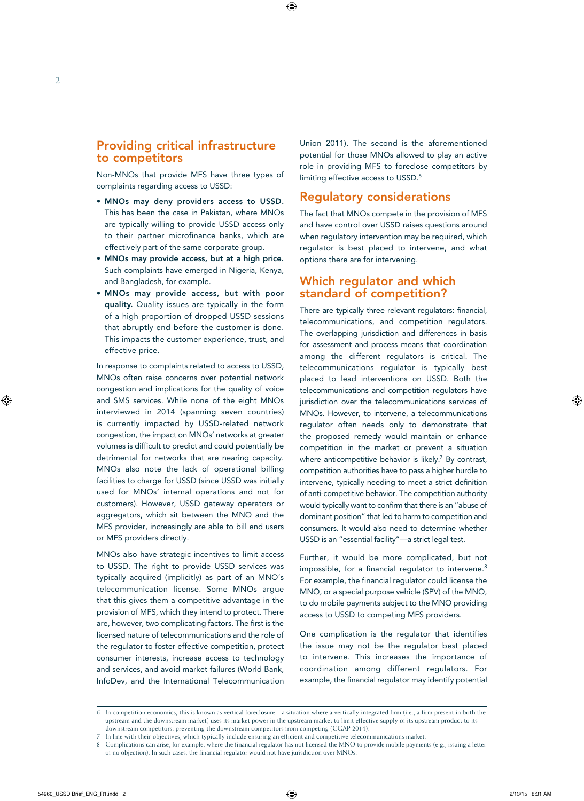#### Providing critical infrastructure to competitors

Non-MNOs that provide MFS have three types of complaints regarding access to USSD:

- MNOs may deny providers access to USSD. This has been the case in Pakistan, where MNOs are typically willing to provide USSD access only to their partner microfinance banks, which are effectively part of the same corporate group.
- MNOs may provide access, but at a high price. Such complaints have emerged in Nigeria, Kenya, and Bangladesh, for example.
- MNOs may provide access, but with poor quality. Quality issues are typically in the form of a high proportion of dropped USSD sessions that abruptly end before the customer is done. This impacts the customer experience, trust, and effective price.

In response to complaints related to access to USSD, MNOs often raise concerns over potential network congestion and implications for the quality of voice and SMS services. While none of the eight MNOs interviewed in 2014 (spanning seven countries) is currently impacted by USSD-related network congestion, the impact on MNOs' networks at greater volumes is difficult to predict and could potentially be detrimental for networks that are nearing capacity. MNOs also note the lack of operational billing facilities to charge for USSD (since USSD was initially used for MNOs' internal operations and not for customers). However, USSD gateway operators or aggregators, which sit between the MNO and the MFS provider, increasingly are able to bill end users or MFS providers directly.

MNOs also have strategic incentives to limit access to USSD. The right to provide USSD services was typically acquired (implicitly) as part of an MNO's telecommunication license. Some MNOs argue that this gives them a competitive advantage in the provision of MFS, which they intend to protect. There are, however, two complicating factors. The first is the licensed nature of telecommunications and the role of the regulator to foster effective competition, protect consumer interests, increase access to technology and services, and avoid market failures (World Bank, InfoDev, and the International Telecommunication

Union 2011). The second is the aforementioned potential for those MNOs allowed to play an active role in providing MFS to foreclose competitors by limiting effective access to USSD.<sup>6</sup>

### Regulatory considerations

The fact that MNOs compete in the provision of MFS and have control over USSD raises questions around when regulatory intervention may be required, which regulator is best placed to intervene, and what options there are for intervening.

#### Which regulator and which standard of competition?

There are typically three relevant regulators: financial, telecommunications, and competition regulators. The overlapping jurisdiction and differences in basis for assessment and process means that coordination among the different regulators is critical. The telecommunications regulator is typically best placed to lead interventions on USSD. Both the telecommunications and competition regulators have jurisdiction over the telecommunications services of MNOs. However, to intervene, a telecommunications regulator often needs only to demonstrate that the proposed remedy would maintain or enhance competition in the market or prevent a situation where anticompetitive behavior is likely.<sup>7</sup> By contrast, competition authorities have to pass a higher hurdle to intervene, typically needing to meet a strict definition of anti-competitive behavior. The competition authority would typically want to confirm that there is an "abuse of dominant position" that led to harm to competition and consumers. It would also need to determine whether USSD is an "essential facility"—a strict legal test.

Further, it would be more complicated, but not impossible, for a financial regulator to intervene.<sup>8</sup> For example, the financial regulator could license the MNO, or a special purpose vehicle (SPV) of the MNO, to do mobile payments subject to the MNO providing access to USSD to competing MFS providers.

One complication is the regulator that identifies the issue may not be the regulator best placed to intervene. This increases the importance of coordination among different regulators. For example, the financial regulator may identify potential

<sup>6</sup> In competition economics, this is known as vertical foreclosure—a situation where a vertically integrated firm (i.e., a firm present in both the upstream and the downstream market) uses its market power in the upstream market to limit effective supply of its upstream product to its downstream competitors, preventing the downstream competitors from competing (CGAP 2014).

<sup>7</sup> In line with their objectives, which typically include ensuring an efficient and competitive telecommunications market.

<sup>8</sup> Complications can arise, for example, where the financial regulator has not licensed the MNO to provide mobile payments (e.g., issuing a letter of no objection). In such cases, the financial regulator would not have jurisdiction over MNOs.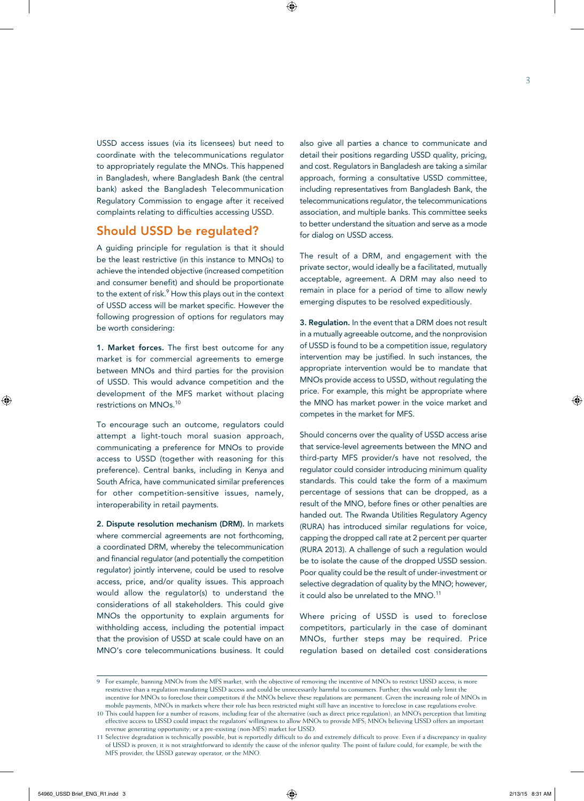USSD access issues (via its licensees) but need to coordinate with the telecommunications regulator to appropriately regulate the MNOs. This happened in Bangladesh, where Bangladesh Bank (the central bank) asked the Bangladesh Telecommunication Regulatory Commission to engage after it received complaints relating to difficulties accessing USSD.

#### Should USSD be regulated?

A guiding principle for regulation is that it should be the least restrictive (in this instance to MNOs) to achieve the intended objective (increased competition and consumer benefit) and should be proportionate to the extent of risk.<sup>9</sup> How this plays out in the context of USSD access will be market specific. However the following progression of options for regulators may be worth considering:

1. Market forces. The first best outcome for any market is for commercial agreements to emerge between MNOs and third parties for the provision of USSD. This would advance competition and the development of the MFS market without placing restrictions on MNOs.10

To encourage such an outcome, regulators could attempt a light-touch moral suasion approach, communicating a preference for MNOs to provide access to USSD (together with reasoning for this preference). Central banks, including in Kenya and South Africa, have communicated similar preferences for other competition-sensitive issues, namely, interoperability in retail payments.

2. Dispute resolution mechanism (DRM). In markets where commercial agreements are not forthcoming, a coordinated DRM, whereby the telecommunication and financial regulator (and potentially the competition regulator) jointly intervene, could be used to resolve access, price, and/or quality issues. This approach would allow the regulator(s) to understand the considerations of all stakeholders. This could give MNOs the opportunity to explain arguments for withholding access, including the potential impact that the provision of USSD at scale could have on an MNO's core telecommunications business. It could also give all parties a chance to communicate and detail their positions regarding USSD quality, pricing, and cost. Regulators in Bangladesh are taking a similar approach, forming a consultative USSD committee, including representatives from Bangladesh Bank, the telecommunications regulator, the telecommunications association, and multiple banks. This committee seeks to better understand the situation and serve as a mode for dialog on USSD access.

The result of a DRM, and engagement with the private sector, would ideally be a facilitated, mutually acceptable, agreement. A DRM may also need to remain in place for a period of time to allow newly emerging disputes to be resolved expeditiously.

3. Regulation. In the event that a DRM does not result in a mutually agreeable outcome, and the nonprovision of USSD is found to be a competition issue, regulatory intervention may be justified. In such instances, the appropriate intervention would be to mandate that MNOs provide access to USSD, without regulating the price. For example, this might be appropriate where the MNO has market power in the voice market and competes in the market for MFS.

Should concerns over the quality of USSD access arise that service-level agreements between the MNO and third-party MFS provider/s have not resolved, the regulator could consider introducing minimum quality standards. This could take the form of a maximum percentage of sessions that can be dropped, as a result of the MNO, before fines or other penalties are handed out. The Rwanda Utilities Regulatory Agency (RURA) has introduced similar regulations for voice, capping the dropped call rate at 2 percent per quarter (RURA 2013). A challenge of such a regulation would be to isolate the cause of the dropped USSD session. Poor quality could be the result of under-investment or selective degradation of quality by the MNO; however, it could also be unrelated to the MNO.<sup>11</sup>

Where pricing of USSD is used to foreclose competitors, particularly in the case of dominant MNOs, further steps may be required. Price regulation based on detailed cost considerations

<sup>9</sup> For example, banning MNOs from the MFS market, with the objective of removing the incentive of MNOs to restrict USSD access, is more restrictive than a regulation mandating USSD access and could be unnecessarily harmful to consumers. Further, this would only limit the incentive for MNOs to foreclose their competitors if the MNOs believe these regulations are permanent. Given the increasing role of MNOs in mobile payments, MNOs in markets where their role has been restricted might still have an incentive to foreclose in case regulations evolve.

<sup>10</sup> This could happen for a number of reasons, including fear of the alternative (such as direct price regulation); an MNO's perception that limiting effective access to USSD could impact the regulators' willingness to allow MNOs to provide MFS; MNOs believing USSD offers an important revenue generating opportunity; or a pre-existing (non-MFS) market for USSD.

<sup>11</sup> Selective degradation is technically possible, but is reportedly difficult to do and extremely difficult to prove. Even if a discrepancy in quality of USSD is proven, it is not straightforward to identify the cause of the inferior quality. The point of failure could, for example, be with the MFS provider, the USSD gateway operator, or the MNO.